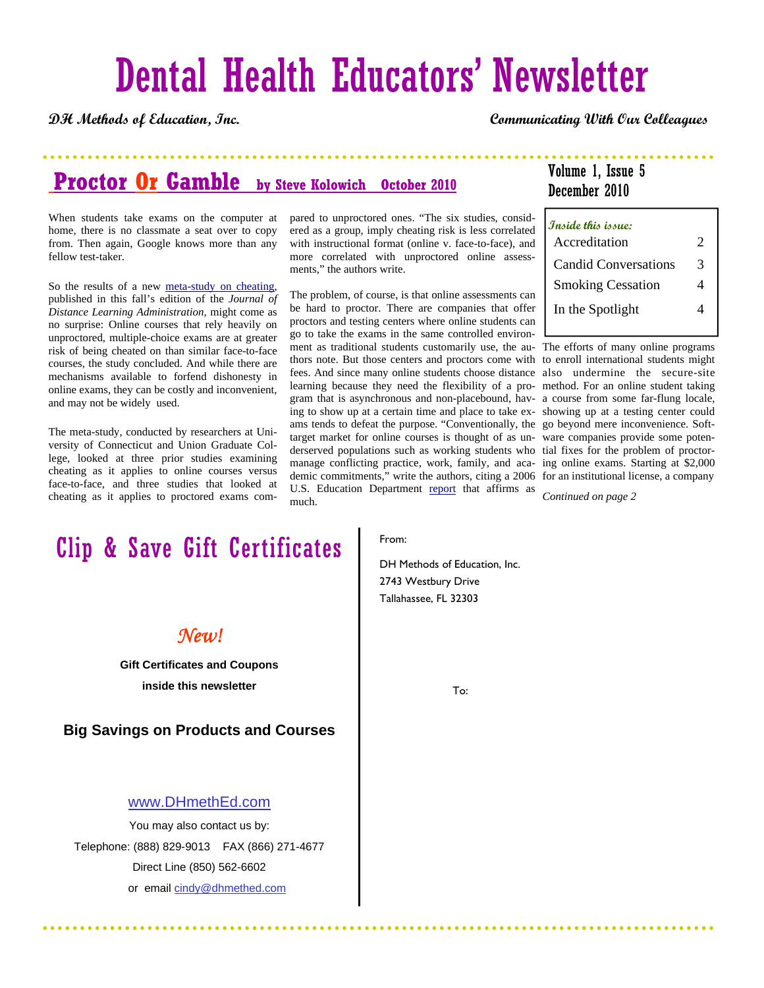# Dental Health Educators' Newsletter

**DH Methods of Education, Inc. Communicating With Our Colleagues**

## Proctor Or Gamble by Steve Kolowich October 2010

When students take exams on the computer at home, there is no classmate a seat over to copy from. Then again, Google knows more than any fellow test-taker.

So the results of a new meta-study on cheating, published in this fall's edition of the *Journal of Distance Learning Administration,* might come as no surprise: Online courses that rely heavily on unproctored, multiple-choice exams are at greater risk of being cheated on than similar face-to-face courses, the study concluded. And while there are mechanisms available to forfend dishonesty in online exams, they can be costly and inconvenient, and may not be widely used.

The meta-study, conducted by researchers at University of Connecticut and Union Graduate College, looked at three prior studies examining cheating as it applies to online courses versus face-to-face, and three studies that looked at cheating as it applies to proctored exams compared to unproctored ones. "The six studies, considered as a group, imply cheating risk is less correlated with instructional format (online v. face-to-face), and more correlated with unproctored online assessments," the authors write.

The problem, of course, is that online assessments can be hard to proctor. There are companies that offer proctors and testing centers where online students can go to take the exams in the same controlled environment as traditional students customarily use, the au-The efforts of many online programs thors note. But those centers and proctors come with to enroll international students might fees. And since many online students choose distance also undermine the secure-site learning because they need the flexibility of a pro-method. For an online student taking gram that is asynchronous and non-placebound, hav-a course from some far-flung locale, ing to show up at a certain time and place to take ex-showing up at a testing center could ams tends to defeat the purpose. "Conventionally, the go beyond mere inconvenience. Softtarget market for online courses is thought of as un-ware companies provide some potenderserved populations such as working students who tial fixes for the problem of proctormanage conflicting practice, work, family, and aca-ing online exams. Starting at \$2,000 demic commitments," write the authors, citing a 2006 for an institutional license, a company U.S. Education Department report that affirms as much.

### Volume 1, Issue 5 December 2010

| Inside this issue:          |   |
|-----------------------------|---|
| Accreditation               | 2 |
| <b>Candid Conversations</b> | 3 |
| <b>Smoking Cessation</b>    | 4 |
| In the Spotlight            |   |
|                             |   |

. . . . . . . . . . . . . .

*Continued on page 2* 

# Clip & Save Gift Certificates

### *New!*

**Gift Certificates and Coupons inside this newsletter** 

**Big Savings on Products and Courses** 

#### www.DHmethEd.com

You may also contact us by: Telephone: (888) 829-9013 FAX (866) 271-4677 Direct Line (850) 562-6602 or email cindy@dhmethed.com

From:

DH Methods of Education, Inc. 2743 Westbury Drive Tallahassee, FL 32303

To: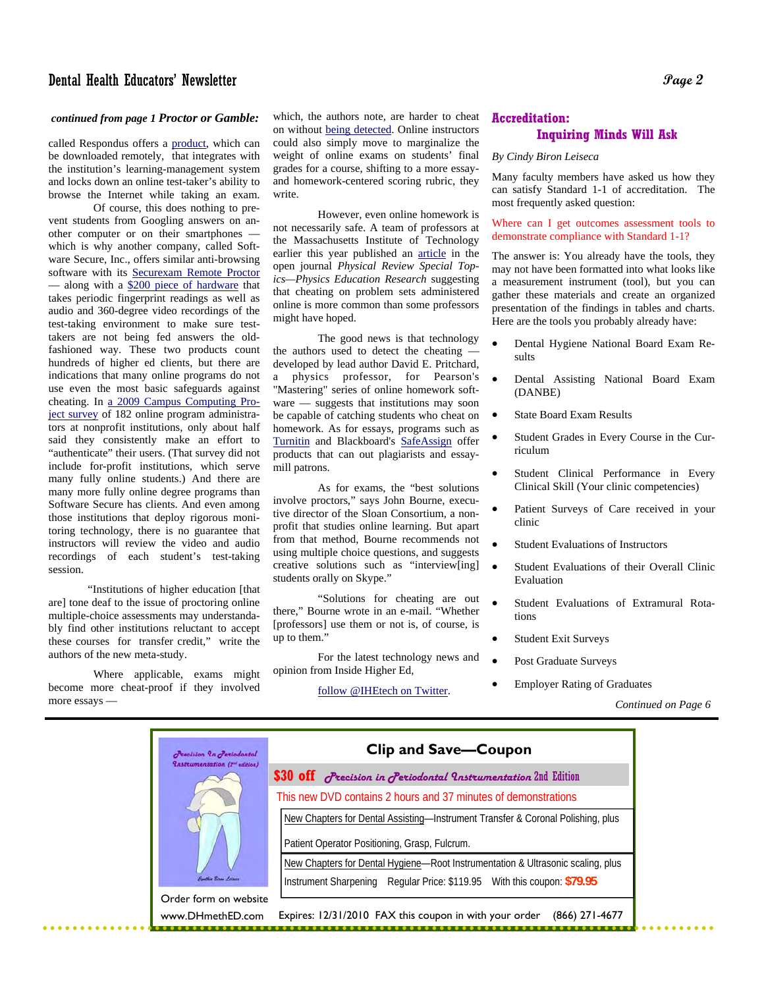#### Dental Health Educators' Newsletter **Page 2**

# *continued from page 1 Proctor or Gamble:*<br>colled Pespondus offers a product, which can

called Respondus offers a **product**, which can be downloaded remotely, that integrates with the institution's learning-management system and locks down an online test-taker's ability to browse the Internet while taking an exam.

 Of course, this does nothing to prevent students from Googling answers on another computer or on their smartphones which is why another company, called Software Secure, Inc., offers similar anti-browsing software with its Securexam Remote Proctor — along with a \$200 piece of hardware that takes periodic fingerprint readings as well as audio and 360-degree video recordings of the test-taking environment to make sure testtakers are not being fed answers the oldfashioned way. These two products count hundreds of higher ed clients, but there are indications that many online programs do not use even the most basic safeguards against cheating. In a 2009 Campus Computing Project survey of 182 online program administrators at nonprofit institutions, only about half said they consistently make an effort to "authenticate" their users. (That survey did not include for-profit institutions, which serve many fully online students.) And there are many more fully online degree programs than Software Secure has clients. And even among those institutions that deploy rigorous monitoring technology, there is no guarantee that instructors will review the video and audio recordings of each student's test-taking session.

 "Institutions of higher education [that are] tone deaf to the issue of proctoring online multiple-choice assessments may understandably find other institutions reluctant to accept these courses for transfer credit," write the authors of the new meta-study.

 Where applicable, exams might become more cheat-proof if they involved more essays —

which, the authors note, are harder to cheat on without being detected. Online instructors could also simply move to marginalize the weight of online exams on students' final grades for a course, shifting to a more essayand homework-centered scoring rubric, they write.

 However, even online homework is not necessarily safe. A team of professors at the Massachusetts Institute of Technology earlier this year published an article in the open journal *Physical Review Special Topics—Physics Education Research* suggesting that cheating on problem sets administered online is more common than some professors might have hoped.

 The good news is that technology the authors used to detect the cheating developed by lead author David E. Pritchard, a physics professor, for Pearson's "Mastering" series of online homework software — suggests that institutions may soon be capable of catching students who cheat on homework. As for essays, programs such as Turnitin and Blackboard's SafeAssign offer products that can out plagiarists and essaymill patrons.

 As for exams, the "best solutions involve proctors," says John Bourne, executive director of the Sloan Consortium, a nonprofit that studies online learning. But apart from that method, Bourne recommends not using multiple choice questions, and suggests creative solutions such as "interview[ing] students orally on Skype."

 "Solutions for cheating are out there," Bourne wrote in an e-mail. "Whether [professors] use them or not is, of course, is up to them."

 For the latest technology news and opinion from Inside Higher Ed,

follow @IHEtech on Twitter.

#### **Accreditation:**

#### **Inquiring Minds Will Ask**

#### *By Cindy Biron Leiseca*

Many faculty members have asked us how they can satisfy Standard 1-1 of accreditation. The most frequently asked question:

Where can I get outcomes assessment tools to demonstrate compliance with Standard 1-1?

The answer is: You already have the tools, they may not have been formatted into what looks like a measurement instrument (tool), but you can gather these materials and create an organized presentation of the findings in tables and charts. Here are the tools you probably already have:

- Dental Hygiene National Board Exam Results
- Dental Assisting National Board Exam (DANBE)
- State Board Exam Results
- Student Grades in Every Course in the Curriculum
- Student Clinical Performance in Every Clinical Skill (Your clinic competencies)
- Patient Surveys of Care received in your clinic
- Student Evaluations of Instructors
- Student Evaluations of their Overall Clinic Evaluation
- Student Evaluations of Extramural Rotations
- Student Exit Surveys
- Post Graduate Surveys
- Employer Rating of Graduates

 *Continued on Page 6* 

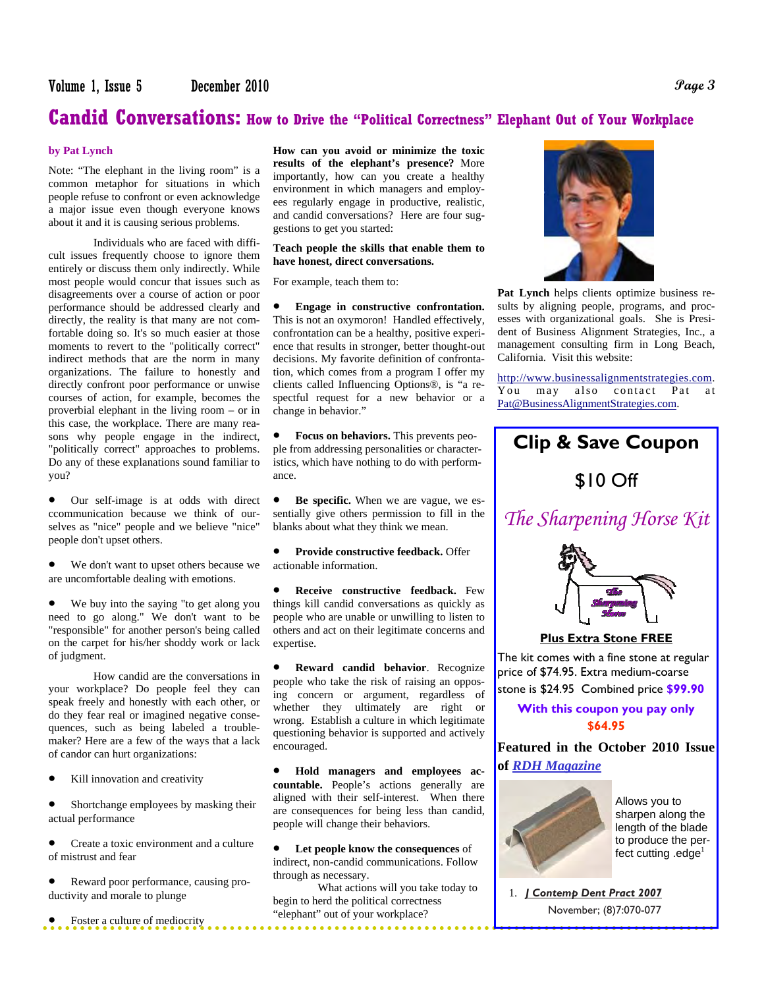# **Candid Conversations: How to Drive the "Political Correctness" Elephant Out of Your Workplace**

#### **by Pat Lynch**

Note: "The elephant in the living room" is a common metaphor for situations in which people refuse to confront or even acknowledge a major issue even though everyone knows about it and it is causing serious problems.

 Individuals who are faced with difficult issues frequently choose to ignore them entirely or discuss them only indirectly. While most people would concur that issues such as disagreements over a course of action or poor performance should be addressed clearly and directly, the reality is that many are not comfortable doing so. It's so much easier at those moments to revert to the "politically correct" indirect methods that are the norm in many organizations. The failure to honestly and directly confront poor performance or unwise courses of action, for example, becomes the proverbial elephant in the living room – or in this case, the workplace. There are many reasons why people engage in the indirect, "politically correct" approaches to problems. Do any of these explanations sound familiar to you?

 Our self-image is at odds with direct ccommunication because we think of ourselves as "nice" people and we believe "nice" people don't upset others.

 We don't want to upset others because we are uncomfortable dealing with emotions.

 We buy into the saying "to get along you need to go along." We don't want to be "responsible" for another person's being called on the carpet for his/her shoddy work or lack of judgment.

 How candid are the conversations in your workplace? Do people feel they can speak freely and honestly with each other, or do they fear real or imagined negative consequences, such as being labeled a troublemaker? Here are a few of the ways that a lack of candor can hurt organizations:

Kill innovation and creativity

 Shortchange employees by masking their actual performance

 Create a toxic environment and a culture of mistrust and fear

 Reward poor performance, causing productivity and morale to plunge

Foster a culture of mediocrity

**How can you avoid or minimize the toxic results of the elephant's presence?** More importantly, how can you create a healthy environment in which managers and employees regularly engage in productive, realistic, and candid conversations? Here are four suggestions to get you started:

#### **Teach people the skills that enable them to have honest, direct conversations.**

For example, teach them to:

 **Engage in constructive confrontation.** This is not an oxymoron! Handled effectively, confrontation can be a healthy, positive experience that results in stronger, better thought-out decisions. My favorite definition of confrontation, which comes from a program I offer my clients called Influencing Options®, is "a respectful request for a new behavior or a change in behavior."

 **Focus on behaviors.** This prevents people from addressing personalities or characteristics, which have nothing to do with performance.

 **Be specific.** When we are vague, we essentially give others permission to fill in the blanks about what they think we mean.

 **Provide constructive feedback.** Offer actionable information.

 **Receive constructive feedback.** Few things kill candid conversations as quickly as people who are unable or unwilling to listen to others and act on their legitimate concerns and expertise.

 **Reward candid behavior**. Recognize people who take the risk of raising an opposing concern or argument, regardless of whether they ultimately are right or wrong. Establish a culture in which legitimate questioning behavior is supported and actively encouraged.

 **Hold managers and employees accountable.** People's actions generally are aligned with their self-interest. When there are consequences for being less than candid, people will change their behaviors.

 **Let people know the consequences** of indirect, non-candid communications. Follow through as necessary.

 What actions will you take today to begin to herd the political correctness "elephant" out of your workplace?



**Pat Lynch** helps clients optimize business results by aligning people, programs, and processes with organizational goals. She is President of Business Alignment Strategies, Inc., a management consulting firm in Long Beach, California. Visit this website:

http://www.businessalignmentstrategies.com. You may also contact Pat at Pat@BusinessAlignmentStrategies.com.

# **Clip & Save Coupon**  \$10 Off *The Sharpening Horse Kit*  **Plus Extra Stone FREE** The kit comes with a fine stone at regular price of \$74.95. Extra medium-coarse stone is \$24.95 Combined price **\$99.90 With this coupon you pay only \$64.95 Featured in the October 2010 Issue of** *RDH Magazine*



Allows you to sharpen along the length of the blade to produce the perfect cutting  $.$ edge $<sup>1</sup>$ </sup>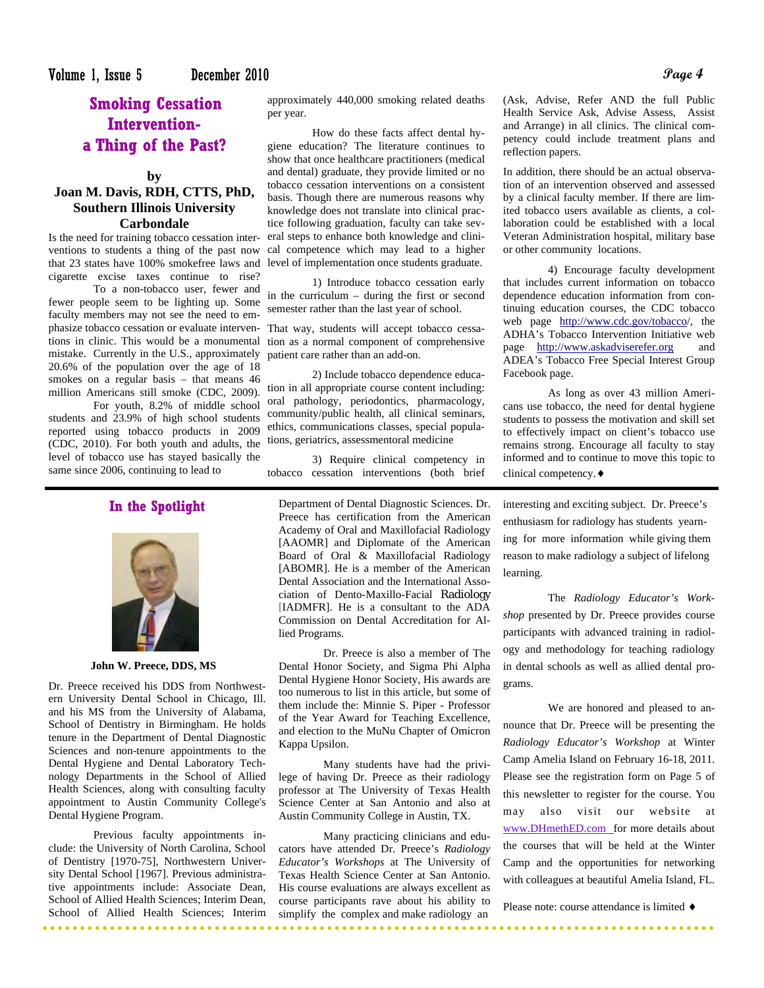### **Smoking Cessation Interventiona Thing of the Past?**

**by** 

#### **Joan M. Davis, RDH, CTTS, PhD, Southern Illinois University Carbondale**

Is the need for training tobacco cessation interventions to students a thing of the past now cigarette excise taxes continue to rise?

 To a non-tobacco user, fewer and fewer people seem to be lighting up. Some faculty members may not see the need to emphasize tobacco cessation or evaluate interven-That way, students will accept tobacco cessamistake. Currently in the U.S., approximately 20.6% of the population over the age of 18 smokes on a regular basis – that means 46 million Americans still smoke (CDC, 2009).

 For youth, 8.2% of middle school students and 23.9% of high school students reported using tobacco products in 2009 (CDC, 2010). For both youth and adults, the level of tobacco use has stayed basically the same since 2006, continuing to lead to

#### **In the Spotlight**



#### **John W. Preece, DDS, MS**

Dr. Preece received his DDS from Northwestern University Dental School in Chicago, Ill. and his MS from the University of Alabama, School of Dentistry in Birmingham. He holds tenure in the Department of Dental Diagnostic Sciences and non-tenure appointments to the Dental Hygiene and Dental Laboratory Technology Departments in the School of Allied Health Sciences, along with consulting faculty appointment to Austin Community College's Dental Hygiene Program.

 Previous faculty appointments include: the University of North Carolina, School of Dentistry [1970-75], Northwestern University Dental School [1967]. Previous administrative appointments include: Associate Dean, School of Allied Health Sciences; Interim Dean, School of Allied Health Sciences; Interim

approximately 440,000 smoking related deaths per year.

that 23 states have 100% smokefree laws and level of implementation once students graduate. How do these facts affect dental hygiene education? The literature continues to show that once healthcare practitioners (medical and dental) graduate, they provide limited or no tobacco cessation interventions on a consistent basis. Though there are numerous reasons why knowledge does not translate into clinical practice following graduation, faculty can take several steps to enhance both knowledge and clinical competence which may lead to a higher

> 1) Introduce tobacco cessation early in the curriculum – during the first or second semester rather than the last year of school.

tions in clinic. This would be a monumental tion as a normal component of comprehensive patient care rather than an add-on.

> 2) Include tobacco dependence education in all appropriate course content including: oral pathology, periodontics, pharmacology, community/public health, all clinical seminars, ethics, communications classes, special populations, geriatrics, assessmentoral medicine

 3) Require clinical competency in tobacco cessation interventions (both brief

Department of Dental Diagnostic Sciences. Dr. Preece has certification from the American Academy of Oral and Maxillofacial Radiology [AAOMR] and Diplomate of the American Board of Oral & Maxillofacial Radiology [ABOMR]. He is a member of the American Dental Association and the International Association of Dento-Maxillo-Facial Radiology [IADMFR]. He is a consultant to the ADA Commission on Dental Accreditation for Allied Programs.

 Dr. Preece is also a member of The Dental Honor Society, and Sigma Phi Alpha Dental Hygiene Honor Society, His awards are too numerous to list in this article, but some of them include the: Minnie S. Piper - Professor of the Year Award for Teaching Excellence, and election to the MuNu Chapter of Omicron Kappa Upsilon.

 Many students have had the privilege of having Dr. Preece as their radiology professor at The University of Texas Health Science Center at San Antonio and also at Austin Community College in Austin, TX.

 Many practicing clinicians and educators have attended Dr. Preece's *Radiology Educator's Workshops* at The University of Texas Health Science Center at San Antonio. His course evaluations are always excellent as course participants rave about his ability to simplify the complex and make radiology an

(Ask, Advise, Refer AND the full Public Health Service Ask, Advise Assess, Assist and Arrange) in all clinics. The clinical competency could include treatment plans and reflection papers.

In addition, there should be an actual observation of an intervention observed and assessed by a clinical faculty member. If there are limited tobacco users available as clients, a collaboration could be established with a local Veteran Administration hospital, military base or other community locations.

 4) Encourage faculty development that includes current information on tobacco dependence education information from continuing education courses, the CDC tobacco web page http://www.cdc.gov/tobacco/, the ADHA's Tobacco Intervention Initiative web page http://www.askadviserefer.org and ADEA's Tobacco Free Special Interest Group Facebook page.

 As long as over 43 million Americans use tobacco, the need for dental hygiene students to possess the motivation and skill set to effectively impact on client's tobacco use remains strong. Encourage all faculty to stay informed and to continue to move this topic to clinical competency.

interesting and exciting subject. Dr. Preece's enthusiasm for radiology has students yearn-

ing for more information while giving them reason to make radiology a subject of lifelong learning.

 The *Radiology Educator's Workshop* presented by Dr. Preece provides course participants with advanced training in radiology and methodology for teaching radiology in dental schools as well as allied dental programs.

 We are honored and pleased to announce that Dr. Preece will be presenting the *Radiology Educator's Workshop* at Winter Camp Amelia Island on February 16-18, 2011. Please see the registration form on Page 5 of this newsletter to register for the course. You may also visit our website at www.DHmethED.com for more details about the courses that will be held at the Winter Camp and the opportunities for networking with colleagues at beautiful Amelia Island, FL.

Please note: course attendance is limited  $\triangleleft$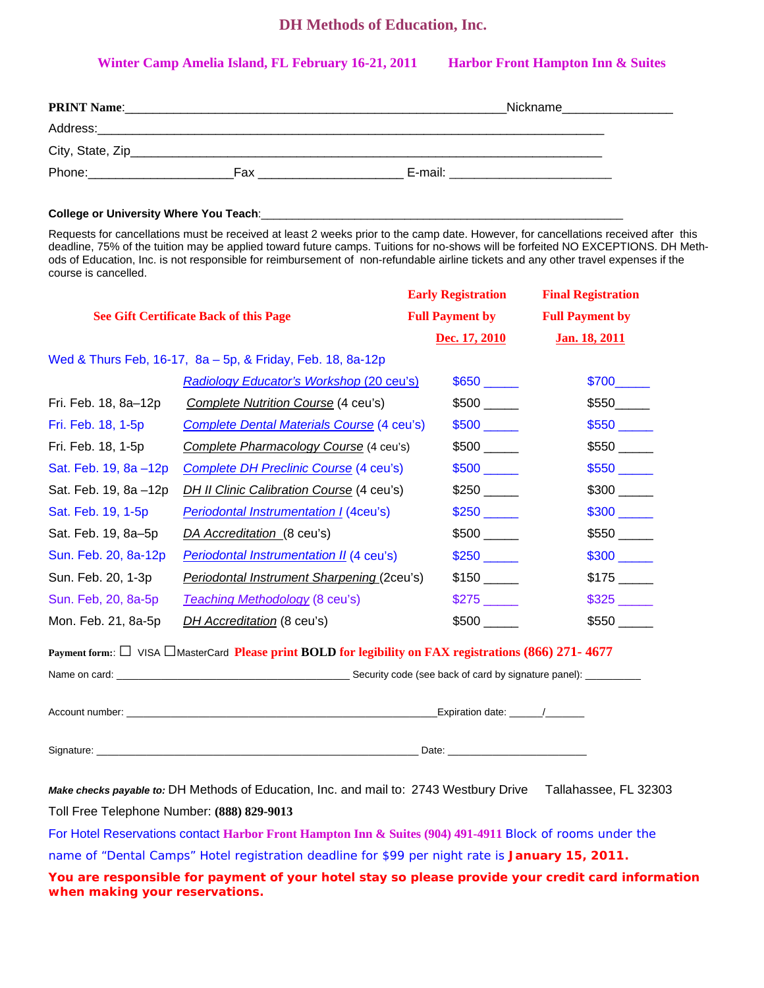#### **DH Methods of Education, Inc.**

#### Winter Camp Amelia Island, FL February 16-21, 2011 Harbor Front Hampton Inn & Suites

| <b>PRINT Name:</b> |     | Nickname |
|--------------------|-----|----------|
| Address:           |     |          |
| City, State, Zip_  |     |          |
| Phone:             | Fax | E-mail:  |

College or University Where You Teach:

Requests for cancellations must be received at least 2 weeks prior to the camp date. However, for cancellations received after this deadline, 75% of the tuition may be applied toward future camps. Tuitions for no-shows will be forfeited NO EXCEPTIONS. DH Methods of Education, Inc. is not responsible for reimbursement of non-refundable airline tickets and any other travel expenses if the course is cancelled.

|                                                            |                                                                                                        | <b>Early Registration</b> | <b>Final Registration</b> |  |  |  |
|------------------------------------------------------------|--------------------------------------------------------------------------------------------------------|---------------------------|---------------------------|--|--|--|
|                                                            | <b>See Gift Certificate Back of this Page</b>                                                          | <b>Full Payment by</b>    | <b>Full Payment by</b>    |  |  |  |
|                                                            |                                                                                                        | Dec. 17, 2010             | Jan. 18, 2011             |  |  |  |
| Wed & Thurs Feb, 16-17, 8a - 5p, & Friday, Feb. 18, 8a-12p |                                                                                                        |                           |                           |  |  |  |
|                                                            | <b>Radiology Educator's Workshop (20 ceu's)</b>                                                        |                           | \$700                     |  |  |  |
| Fri. Feb. 18, 8a-12p                                       | Complete Nutrition Course (4 ceu's)                                                                    |                           | \$550                     |  |  |  |
| Fri. Feb. 18, 1-5p                                         | <b>Complete Dental Materials Course (4 ceu's)</b>                                                      |                           |                           |  |  |  |
| Fri. Feb. 18, 1-5p                                         | Complete Pharmacology Course (4 ceu's)                                                                 |                           |                           |  |  |  |
| Sat. Feb. 19, 8a -12p                                      | <b>Complete DH Preclinic Course (4 ceu's)</b>                                                          |                           |                           |  |  |  |
| Sat. Feb. 19, 8a -12p                                      | <b>DH II Clinic Calibration Course (4 ceu's)</b>                                                       | \$250                     |                           |  |  |  |
| Sat. Feb. 19, 1-5p                                         | <b>Periodontal Instrumentation I (4ceu's)</b>                                                          |                           |                           |  |  |  |
| Sat. Feb. 19, 8a-5p                                        | DA Accreditation (8 ceu's)                                                                             |                           |                           |  |  |  |
| Sun. Feb. 20, 8a-12p                                       | Periodontal Instrumentation II (4 ceu's)                                                               |                           |                           |  |  |  |
| Sun. Feb. 20, 1-3p                                         | Periodontal Instrument Sharpening (2ceu's)                                                             |                           |                           |  |  |  |
| Sun. Feb, 20, 8a-5p                                        | <b>Teaching Methodology (8 ceu's)</b>                                                                  |                           |                           |  |  |  |
| Mon. Feb. 21, 8a-5p                                        | DH Accreditation (8 ceu's)                                                                             |                           |                           |  |  |  |
|                                                            | Payment form: □ VISA □ MasterCard Please print BOLD for legibility on FAX registrations (866) 271-4677 |                           |                           |  |  |  |
|                                                            |                                                                                                        |                           |                           |  |  |  |
|                                                            |                                                                                                        |                           |                           |  |  |  |
|                                                            |                                                                                                        |                           |                           |  |  |  |
|                                                            | Make checks payable to: DH Methods of Education, Inc. and mail to: 2743 Westbury Drive                 |                           | Tallahassee, FL 32303     |  |  |  |
| Toll Free Telephone Number: (888) 829-9013                 |                                                                                                        |                           |                           |  |  |  |
|                                                            |                                                                                                        |                           |                           |  |  |  |

For Hotel Reservations contact **Harbor Front Hampton Inn & Suites (904) 491-4911** Block of rooms under the name of "Dental Camps" Hotel registration deadline for \$99 per night rate is **January 15, 2011.** 

**You are responsible for payment of your hotel stay so please provide your credit card information when making your reservations.**